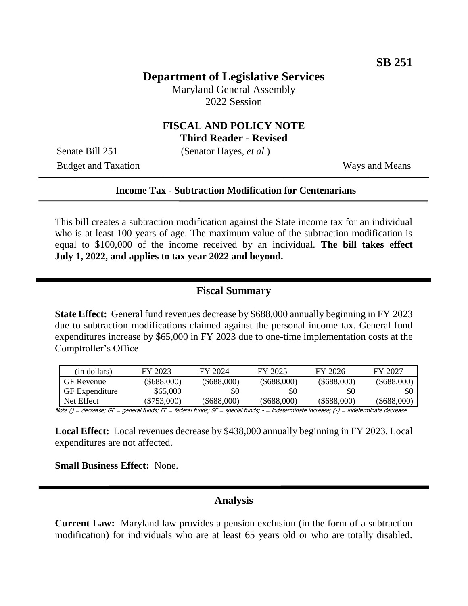# **Department of Legislative Services**

Maryland General Assembly 2022 Session

## **FISCAL AND POLICY NOTE Third Reader - Revised**

Senate Bill 251 (Senator Hayes, *et al.*)

Budget and Taxation Ways and Means

#### **Income Tax - Subtraction Modification for Centenarians**

This bill creates a subtraction modification against the State income tax for an individual who is at least 100 years of age. The maximum value of the subtraction modification is equal to \$100,000 of the income received by an individual. **The bill takes effect July 1, 2022, and applies to tax year 2022 and beyond.** 

#### **Fiscal Summary**

**State Effect:** General fund revenues decrease by \$688,000 annually beginning in FY 2023 due to subtraction modifications claimed against the personal income tax. General fund expenditures increase by \$65,000 in FY 2023 due to one-time implementation costs at the Comptroller's Office.

| (in dollars)          | FY 2023       | FY 2024       | FY 2025           | FY 2026           | FY 2027       |
|-----------------------|---------------|---------------|-------------------|-------------------|---------------|
| <b>GF</b> Revenue     | $(\$688,000)$ | $(\$688,000)$ | $(\$688,000)$     | $(\$688,000)$     | $(\$688,000)$ |
| <b>GF</b> Expenditure | \$65,000      | \$0           | \$0               | \$0               |               |
| Net Effect            | $(\$753,000)$ | (\$688.000)   | $($ \$688,000 $)$ | $($ \$688,000 $)$ | (\$688.000)   |

Note:() = decrease; GF = general funds; FF = federal funds; SF = special funds; - = indeterminate increase; (-) = indeterminate decrease

**Local Effect:** Local revenues decrease by \$438,000 annually beginning in FY 2023. Local expenditures are not affected.

**Small Business Effect:** None.

### **Analysis**

**Current Law:** Maryland law provides a pension exclusion (in the form of a subtraction modification) for individuals who are at least 65 years old or who are totally disabled.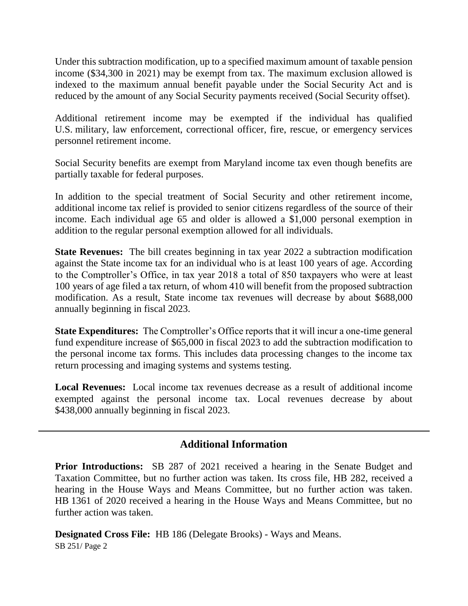Under this subtraction modification, up to a specified maximum amount of taxable pension income (\$34,300 in 2021) may be exempt from tax. The maximum exclusion allowed is indexed to the maximum annual benefit payable under the Social Security Act and is reduced by the amount of any Social Security payments received (Social Security offset).

Additional retirement income may be exempted if the individual has qualified U.S. military, law enforcement, correctional officer, fire, rescue, or emergency services personnel retirement income.

Social Security benefits are exempt from Maryland income tax even though benefits are partially taxable for federal purposes.

In addition to the special treatment of Social Security and other retirement income, additional income tax relief is provided to senior citizens regardless of the source of their income. Each individual age 65 and older is allowed a \$1,000 personal exemption in addition to the regular personal exemption allowed for all individuals.

**State Revenues:** The bill creates beginning in tax year 2022 a subtraction modification against the State income tax for an individual who is at least 100 years of age. According to the Comptroller's Office, in tax year 2018 a total of 850 taxpayers who were at least 100 years of age filed a tax return, of whom 410 will benefit from the proposed subtraction modification. As a result, State income tax revenues will decrease by about \$688,000 annually beginning in fiscal 2023.

**State Expenditures:** The Comptroller's Office reports that it will incur a one-time general fund expenditure increase of \$65,000 in fiscal 2023 to add the subtraction modification to the personal income tax forms. This includes data processing changes to the income tax return processing and imaging systems and systems testing.

**Local Revenues:** Local income tax revenues decrease as a result of additional income exempted against the personal income tax. Local revenues decrease by about \$438,000 annually beginning in fiscal 2023.

# **Additional Information**

**Prior Introductions:** SB 287 of 2021 received a hearing in the Senate Budget and Taxation Committee, but no further action was taken. Its cross file, HB 282, received a hearing in the House Ways and Means Committee, but no further action was taken. HB 1361 of 2020 received a hearing in the House Ways and Means Committee, but no further action was taken.

SB 251/ Page 2 **Designated Cross File:** HB 186 (Delegate Brooks) - Ways and Means.